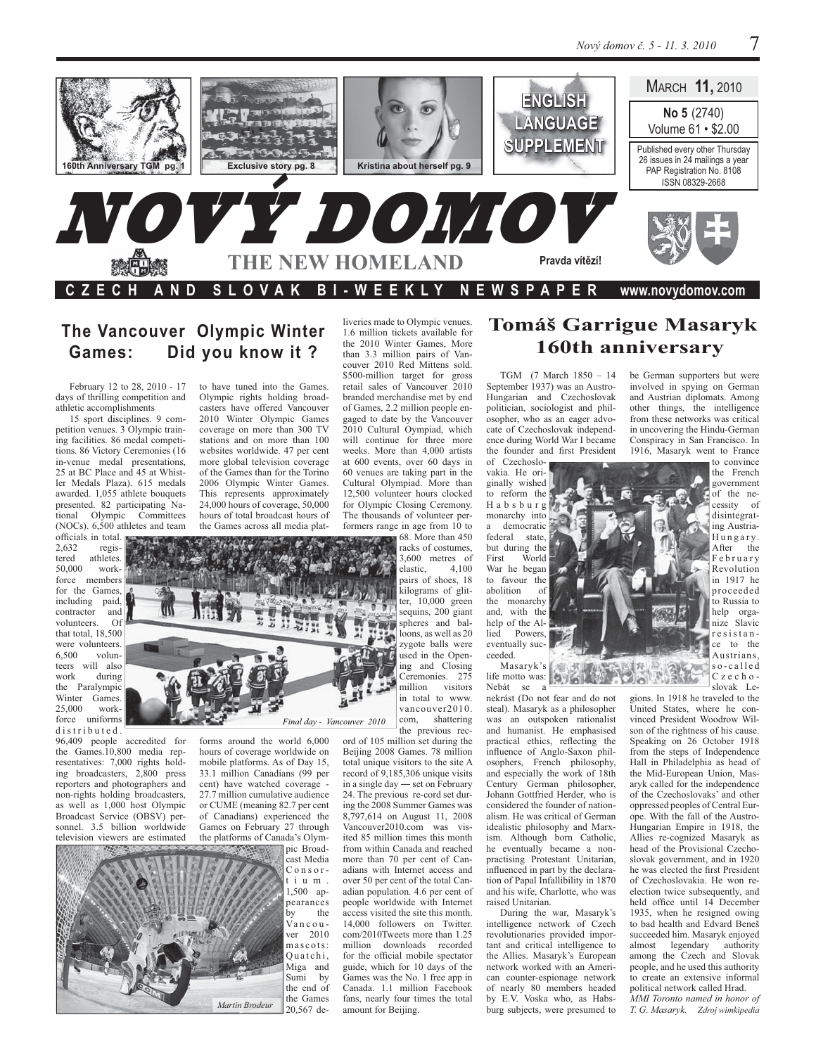

### The Vancouver Olympic Winter Did you know it ? Games:

February 12 to 28, 2010 - 17 days of thrilling competition and athletic accomplishments

15 sport disciplines. 9 competition venues. 3 Olympic training facilities. 86 medal competitions. 86 Victory Ceremonies (16) in-venue medal presentations, 25 at BC Place and 45 at Whistler Medals Plaza), 615 medals awarded. 1,055 athlete bouquets presented. 82 participating National Olympic Committees (NOCs). 6,500 athletes and team

officials in total. 2.632 registered athletes. 50.000 workforce members for the Games. including paid, contractor and volunteers.  $\Omega$ that total, 18,500 were volunteers. 6,500 volunteers will also work during the Paralympic Winter Games 25,000 workforce uniforms distributed.

96,409 people accredited for the Games.10,800 media representatives: 7,000 rights holding broadcasters, 2,800 press reporters and photographers and non-rights holding broadcasters, as well as 1,000 host Olympic Broadcast Service (OBSV) personnel. 3.5 billion worldwide television viewers are estimated

to have tuned into the Games. Olympic rights holding broadcasters have offered Vancouver 2010 Winter Olympic Games coverage on more than 300 TV stations and on more than 100 websites worldwide. 47 per cent more global television coverage of the Games than for the Torino 2006 Olympic Winter Games. This represents approximately 24,000 hours of coverage, 50,000 hours of total broadcast hours of

the Games across all media plat-

Final day - Vancouver 2010

forms around the world 6,000 hours of coverage worldwide on mobile platforms. As of Day 15, 33.1 million Canadians (99 per cent) have watched coverage -27.7 million cumulative audience or CUME (meaning 82.7 per cent of Canadians) experienced the Games on February 27 through the platforms of Canada's Olym-

pic Broadcast Media  $Conser$ tium. 1,500 appearances the by Vancouver 2010 mascots: Quatchi, Miga and Sumi by the end of the Games Martin Brodeur 20.567 de-

liveries made to Olympic venues. 1.6 million tickets available for the 2010 Winter Games, More than 3.3 million pairs of Vancouver 2010 Red Mittens sold. \$500-million target for gross retail sales of Vancouver 2010 branded merchandise met by end of Games, 2.2 million people engaged to date by the Vancouver 2010 Cultural Oympiad, which will continue for three more weeks. More than 4,000 artists at 600 events, over 60 days in 60 venues are taking part in the Cultural Olympiad. More than 12,500 volunteer hours clocked for Olympic Closing Ceremony. The thousands of volunteer performers range in age from 10 to

68. More than 450 racks of costumes. 3,600 metres of elastic, 4.100 pairs of shoes, 18 kilograms of glitter,  $10,000$  green sequins, 200 giant spheres and balloons, as well as 20 zygote balls were used in the Opening and Closing Ceremonies. 275 million visitors in total to www. vancouver2010. com, shattering

the previous rec-

ord of 105 million set during the Beijing 2008 Games. 78 million total unique visitors to the site A record of 9,185,306 unique visits in a single day - set on February 24. The previous re-cord set during the 2008 Summer Games was 8,797,614 on August 11, 2008 Vancouver2010.com was visited 85 million times this month from within Canada and reached more than 70 per cent of Canadians with Internet access and over 50 per cent of the total Canadian population. 4.6 per cent of people worldwide with Internet access visited the site this month. 14,000 followers on Twitter. com/2010Tweets more than 1.25 million downloads recorded for the official mobile spectator guide, which for 10 days of the Games was the No. 1 free app in Canada. 1.1 million Facebook fans, nearly four times the total amount for Beijing.

# Tomáš Garrigue Masaryk 160th anniversary

TGM (7 March 1850 - 14 September 1937) was an Austro-Hungarian and Czechoslovak politician, sociologist and philosopher, who as an eager advocate of Czechoslovak independence during World War I became the founder and first President of Czechoslo-

vakia. He originally wished to reform the Habsburg monarchy into a democratic federal state, but during the First World War he began to favour the abolition  $\circ$ f the monarchy and, with the help of the Allied Powers. eventually succeeded.

Masaryk's life motto was: Nebát se a

nekrást (Do not fear and do not steal). Masaryk as a philosopher was an outspoken rationalist and humanist. He emphasised practical ethics, reflecting the influence of Anglo-Saxon philosophers, French philosophy, and especially the work of 18th Century German philosopher, Johann Gottfried Herder, who is considered the founder of nationalism. He was critical of German idealistic philosophy and Marxism. Although born Catholic, he eventually became a nonpractising Protestant Unitarian, influenced in part by the declaration of Papal Infallibility in 1870 and his wife, Charlotte, who was raised Unitarian

袀

During the war, Masaryk's intelligence network of Czech revolutionaries provided important and critical intelligence to the Allies. Masaryk's European network worked with an American counter-espionage network of nearly 80 members headed by E.V. Voska who, as Habsburg subjects, were presumed to be German supporters but were involved in spying on German and Austrian diplomats. Among other things, the intelligence from these networks was critical in uncovering the Hindu-German Conspiracy in San Francisco. In 1916, Masaryk went to France

to convince the French government of the necessity of disintegrating Austria-Hungary. After the February Revolution in 1917 he proceeded to Russia to help organize Slavic resistance to the Austrians.  $C$  z e c h  $o$  slovak  $Ie$ -

so-called  $\mathcal{O}$  o gions. In 1918 he traveled to the United States, where he convinced President Woodrow Wilson of the rightness of his cause. Speaking on 26 October 1918 from the steps of Independence Hall in Philadelphia as head of the Mid-European Union, Masaryk called for the independence of the Czechoslovaks' and other oppressed peoples of Central Europe. With the fall of the Austro-Hungarian Empire in 1918, the Allies re-cognized Masaryk as head of the Provisional Czechoslovak government, and in 1920 he was elected the first President of Czechoslovakia. He won reelection twice subsequently, and held office until 14 December 1935, when he resigned owing to bad health and Edvard Beneš succeeded him. Masaryk enjoyed almost legendary authority among the Czech and Slovak people, and he used this authority

to create an extensive informal political network called Hrad. MMI Toronto named in honor of T. G. Masaryk. Zdroj wimkipedia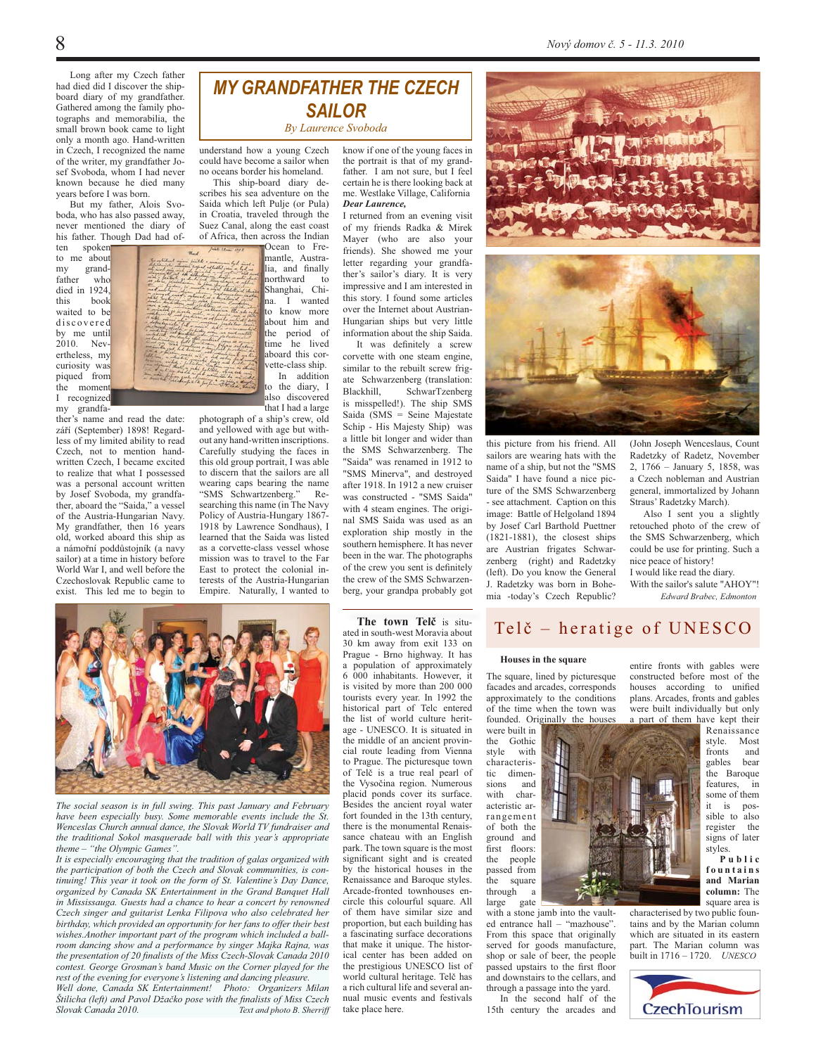Nový domov č. 5 - 11.3. 2010

Long after my Czech father had died did I discover the shipboard diary of my grandfather. Gathered among the family photographs and memorabilia, the small brown book came to light only a month ago. Hand-written in Czech, I recognized the name of the writer, my grandfather Josef Svoboda, whom I had never known because he died many years before I was born.

But my father, Alois Svoboda, who has also passed away, never mentioned the diary of his father. Though Dad had of-

ten spoken to me about  $mv$ grandfather who died in 1924. this book waited to be discovered by me until 2010. Nev ertheless, my curiosity was piqued from the moment I recognized my grandfa-

ther's name and read the date: září (September) 1898! Regardless of my limited ability to read Czech, not to mention handwritten Czech. I became excited to realize that what I possessed was a personal account written by Josef Svoboda, my grandfa-<br>ther, aboard the "Saida," a vessel of the Austria-Hungarian Navy. My grandfather, then 16 years old, worked aboard this ship as a námořní poddůstojník (a navy sailor) at a time in history before World War I, and well before the Czechoslovak Republic came to exist. This led me to begin to



**MY GRANDFATHER THE CZECH SAILOR** 

**By Laurence Syoboda** 

understand how a young Czech could have become a sailor when no oceans border his homeland.

This ship-board diary describes his sea adventure on the Saida which left Pulje (or Pula) in Croatia, traveled through the Suez Canal, along the east coast of Africa, then across the Indian

Ocean to Fremantle, Australia and finally northward to Shanghai, China I wanted to know more about him and the period of time ์ he lived aboard this corvette-class ship. In addition to the diary, I also discovered that I had a large

photograph of a ship's crew, old and yellowed with age but without any hand-written inscriptions. Carefully studying the faces in this old group portrait, I was able to discern that the sailors are all wearing caps bearing the name "SMS Schwartzenberg." Researching this name (in The Navy Policy of Austria-Hungary 1867-1918 by Lawrence Sondhaus). I learned that the Saida was listed as a corvette-class vessel whose mission was to travel to the Far East to protect the colonial interests of the Austria-Hungarian Empire. Naturally, I wanted to

know if one of the young faces in the portrait is that of my grandfather. I am not sure, but I feel certain he is there looking back at me. Westlake Village, California **Dear Laurence.** 

I returned from an evening visit of my friends Radka & Mirek Mayer (who are also your friends). She showed me your letter regarding your grandfather's sailor's diary. It is very impressive and I am interested in this story. I found some articles over the Internet about Austrian-Hungarian ships but very little information about the ship Saida.

It was definitely a screw corvette with one steam engine. similar to the rebuilt screw frigate Schwarzenberg (translation: SchwarTzenberg Blackhill. is misspelled!). The ship SMS Saida (SMS = Seine Majestate Schip - His Majesty Ship) was a little bit longer and wider than the SMS Schwarzenberg. The "Saida" was renamed in 1912 to "SMS Minerva", and destroyed after 1918. In 1912 a new cruiser was constructed - "SMS Saida" with 4 steam engines. The original SMS Saida was used as an exploration ship mostly in the southern hemisphere. It has never been in the war. The photographs of the crew you sent is definitely the crew of the SMS Schwarzenberg, your grandpa probably got



(John Joseph Wenceslaus, Count Radetzky of Radetz, November 2, 1766 - January 5, 1858, was a Czech nobleman and Austrian general immortalized by Johann Straus' Radetzky March).

Also I sent you a slightly retouched photo of the crew of the SMS Schwarzenberg, which could be use for printing. Such a nice peace of history!

I would like read the diary. With the sailor's salute "AHOY"! Edward Brabec Edmonton

The social season is in full swing. This past January and February have been especially busy. Some memorable events include the St Wenceslas Church annual dance, the Slovak World TV fundraiser and the traditional Sokol masquerade ball with this year's appropriate theme - "the Olympic Games".

It is especially encouraging that the tradition of galas organized with the participation of both the Czech and Slovak communities, is continuing! This year it took on the form of St. Valentine's Day Dance, organized by Canada SK Entertainment in the Grand Banquet Hall in Mississauga. Guests had a chance to hear a concert by renowned Czech singer and guitarist Lenka Filipova who also celebrated her birthday, which provided an opportunity for her fans to offer their best wishes. Another important part of the program which included a ballroom dancing show and a performance by singer Majka Rajna, was the presentation of 20 finalists of the Miss Czech-Slovak Canada 2010 contest. George Grosman's band Music on the Corner played for the rest of the evening for everyone's listening and dancing pleasure.

Well done, Canada SK Entertainment! Photo: Organizers Milan Štilicha (left) and Pavol Džačko pose with the finalists of Miss Czech Slovak Canada 2010. Text and photo B. Sherriff

The town Telč is situated in south-west Moravia about 30 km away from exit 133 on Prague - Brno highway. It has a population of approximately 6 000 inhabitants. However, it is visited by more than 200 000 tourists every year. In 1992 the historical part of Tele entered the list of world culture heritage - UNESCO. It is situated in the middle of an ancient provincial route leading from Vienna to Prague. The picturesque town of Telč is a true real pearl of the Vysočina region. Numerous placid ponds cover its surface. Besides the ancient royal water fort founded in the 13th century, there is the monumental Renais sance chateau with an English park. The town square is the most significant sight and is created by the historical houses in the Renaissance and Baroque styles. Arcade-fronted townhouses encircle this colourful square. All of them have similar size and proportion, but each building has a fascinating surface decorations that make it unique. The historical center has been added on the prestigious UNESCO list of world cultural heritage. Telč has a rich cultural life and several annual music events and festivals take place here.

## Telč – heratige of UNESCO

#### Houses in the square

The square, lined by picturesque facades and arcades, corresponds approximately to the conditions of the time when the town was founded. Originally the houses

were built in the Gothic style with characteristic dimensions and with characteristic arrangement of both the ground and first floors: the neonle passed from the square through  $\overline{a}$ large gate

with a stone jamb into the vaulted entrance hall - "mazhouse". From this space that originally served for goods manufacture, shop or sale of beer, the people passed upstairs to the first floor and downstairs to the cellars, and through a passage into the yard.

In the second half of the 15th century the arcades and entire fronts with gables were constructed before most of the houses according to unified plans. Arcades, fronts and gables were built individually but only a part of them have kept their

Renaissance style. Most fronts and gables bear the Baroque features. in some of them it is possible to also register the signs of later styles.

Public fountains and Marian column: The square area is

characterised by two public fountains and by the Marian column which are situated in its eastern part. The Marian column was built in 1716 - 1720. UNESCO

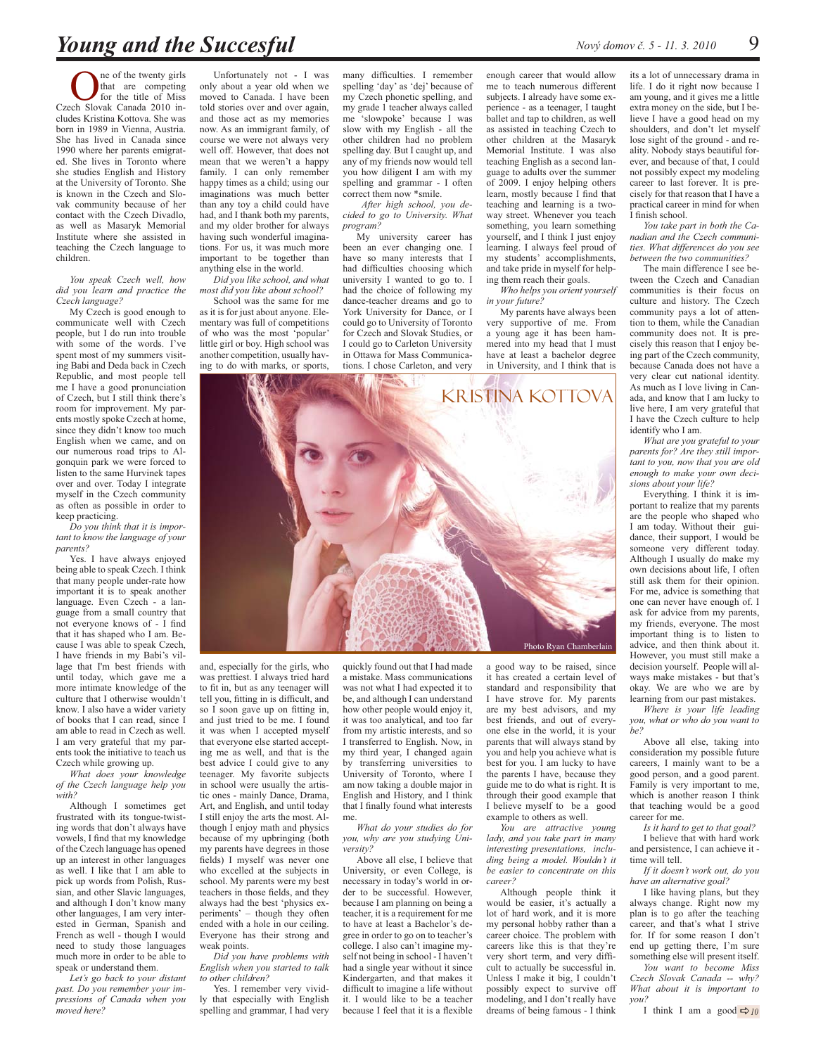ne of the twenty girls that are competing for the title of Miss Czech Slovak Canada 2010 includes Kristina Kottova. She was born in 1989 in Vienna, Austria. She has lived in Canada since 1990 where her parents emigrated. She lives in Toronto where she studies English and History at the University of Toronto. She is known in the Czech and Slovak community because of her contact with the Czech Divadlo, as well as Masaryk Memorial Institute where she assisted in teaching the Czech language to children.

#### You speak Czech well, how did you learn and practice the Czech language?

My Czech is good enough to communicate well with Czech people, but I do run into trouble with some of the words. I've spent most of my summers visiting Babi and Deda back in Czech Republic, and most people tell me I have a good pronunciation of Czech, but I still think there's room for improvement. My parents mostly spoke Czech at home. since they didn't know too much English when we came, and on our numerous road trips to Algonquin park we were forced to listen to the same Hurvinek tapes over and over. Today I integrate myself in the Czech community as often as possible in order to keep practicing.

Do you think that it is important to know the language of your parents?

Yes. I have always enjoyed being able to speak Czech. I think that many people under-rate how important it is to speak another language. Even Czech - a language from a small country that not everyone knows of - I find that it has shaped who I am. Because I was able to speak Czech, I have friends in my Babi's village that I'm best friends with until today, which gave me a more intimate knowledge of the culture that I otherwise wouldn't know. I also have a wider variety of books that I can read, since I am able to read in Czech as well. I am very grateful that my parents took the initiative to teach us Czech while growing up.

What does your knowledge of the Czech language help you with?

Although I sometimes get frustrated with its tongue-twisting words that don't always have vowels, I find that my knowledge of the Czech language has opened up an interest in other languages as well. I like that I am able to pick up words from Polish, Russian, and other Slavic languages, and although I don't know many other languages, I am very interested in German, Spanish and French as well - though I would need to study those languages much more in order to be able to speak or understand them.

Let's go back to your distant past. Do you remember your impressions of Canada when you moved here?

Unfortunately not - I was only about a year old when we moved to Canada. I have been told stories over and over again, and those act as my memories now. As an immigrant family, of course we were not always very well off. However, that does not mean that we weren't a happy family. I can only remember happy times as a child; using our imaginations was much better than any toy a child could have had, and I thank both my parents, and my older brother for always having such wonderful imaginations. For us, it was much more important to be together than anything else in the world

Did you like school. and what most did vou like about school?

School was the same for me as it is for just about anyone. Elementary was full of competitions of who was the most 'popular' little girl or boy. High school was another competition, usually having to do with marks, or sports, many difficulties. I remember spelling 'day' as 'dej' because of my Czech phonetic spelling, and my grade 1 teacher always called me 'slowpoke' because I was slow with my English - all the other children had no problem spelling day. But I caught up, and any of my friends now would tell you how diligent I am with my spelling and grammar - I often correct them now \*smile.

After high school, you decided to go to University. What program?

My university career has been an ever changing one. I have so many interests that I had difficulties choosing which university I wanted to go to. I had the choice of following my dance-teacher dreams and go to York University for Dance, or I could go to University of Toronto for Czech and Slovak Studies, or I could go to Carleton University in Ottawa for Mass Communications. I chose Carleton, and very

enough career that would allow me to teach numerous different subjects. I already have some experience - as a teenager, I taught ballet and tap to children, as well as assisted in teaching Czech to other children at the Masaryk Memorial Institute. I was also teaching English as a second language to adults over the summer of 2009. I enjoy helping others learn, mostly because I find that teaching and learning is a twoway street. Whenever you teach something, you learn something vourself, and I think I just enjoy learning. I always feel proud of my students' accomplishments, and take pride in myself for helping them reach their goals.

Who helps you orient yourself in your future?

My parents have always been very supportive of me. From a young age it has been hammered into my head that I must have at least a bachelor degree in University, and I think that is

its a lot of unnecessary drama in life. I do it right now because I am young, and it gives me a little extra money on the side, but I believe I have a good head on my shoulders, and don't let myself lose sight of the ground - and reality. Nobody stays beautiful forever, and because of that, I could not possibly expect my modeling career to last forever. It is precisely for that reason that I have a practical career in mind for when I finish school.

You take part in both the Canadian and the Czech communities. What differences do you see between the two communities?

The main difference I see hetween the Czech and Canadian communities is their focus on culture and history. The Czech community pays a lot of attention to them, while the Canadian community does not. It is precisely this reason that I enjoy being part of the Czech community, because Canada does not have a very clear cut national identity. As much as I love living in Canada, and know that I am lucky to live here, I am very grateful that I have the Czech culture to help identify who I am

What are you grateful to your<br>parents for? Are they still important to you, now that you are old enough to make your own decisions about your life?

Everything. I think it is important to realize that my parents are the people who shaped who I am today. Without their guidance, their support, I would be someone very different today. Although I usually do make my own decisions about life, I often still ask them for their opinion. For me, advice is something that one can never have enough of. I ask for advice from my parents, my friends, everyone. The most important thing is to listen to advice, and then think about it. However, you must still make a decision yourself. People will always make mistakes - but that's okay. We are who we are by learning from our past mistakes.

Where is your life leading you, what or who do you want to be?

Above all else, taking into consideration my possible future careers, I mainly want to be a good person, and a good parent. Family is very important to me, which is another reason I think that teaching would be a good career for me.

Is it hard to get to that goal?

I believe that with hard work and persistence. I can achieve it time will tell.

If it doesn't work out, do you have an alternative goal?

I like having plans, but they always change. Right now my plan is to go after the teaching career, and that's what I strive for. If for some reason I don't end up getting there, I'm sure something else will present itself. You want to become Miss

Czech Slovak Canada -- why? What about it is important to  $vou?$ 

I think I am a good  $\Rightarrow$  10



and, especially for the girls, who was prettiest. I always tried hard to fit in, but as any teenager will tell you, fitting in is difficult, and so I soon gave up on fitting in, and just tried to be me. I found it was when I accepted myself that everyone else started accepting me as well, and that is the best advice I could give to any teenager. My favorite subjects in school were usually the artistic ones - mainly Dance, Drama, Art, and English, and until today I still enjoy the arts the most. Although I enjoy math and physics because of my upbringing (both my parents have degrees in those fields) I myself was never one who excelled at the subjects in school. My parents were my best teachers in those fields, and they always had the best 'physics experiments' - though they often ended with a hole in our ceiling. Everyone has their strong and weak points.

Did you have problems with English when you started to talk to other children?

Yes. I remember very vividly that especially with English spelling and grammar, I had very quickly found out that I had made a mistake. Mass communications was not what I had expected it to be, and although I can understand how other people would enjoy it, it was too analytical, and too far from my artistic interests, and so I transferred to English. Now, in my third year, I changed again by transferring universities to University of Toronto, where I am now taking a double major in English and History, and I think that I finally found what interests me.

What do your studies do for you, why are you studying Uni-.<br>versitv?

Above all else. I believe that University, or even College, is necessary in today's world in order to be successful. However, because I am planning on being a teacher, it is a requirement for me to have at least a Bachelor's degree in order to go on to teacher's college. I also can't imagine myself not being in school - I haven't had a single year without it since Kindergarten, and that makes it difficult to imagine a life without it. I would like to be a teacher because I feel that it is a flexible

it has created a certain level of standard and responsibility that I have strove for. My parents are my best advisors, and my best friends, and out of everyone else in the world, it is your parents that will always stand by you and help you achieve what is best for you. I am lucky to have the parents I have, because they guide me to do what is right. It is through their good example that I believe myself to be a good example to others as well.

a good way to be raised, since

You are attractive young lady, and you take part in many interesting presentations, including being a model. Wouldn't it be easier to concentrate on this career?

Although people think it would be easier, it's actually a lot of hard work, and it is more my personal hobby rather than a career choice. The problem with careers like this is that they're very short term, and very difficult to actually be successful in. Unless I make it big, I couldn't possibly expect to survive off modeling, and I don't really have dreams of being famous - I think

9